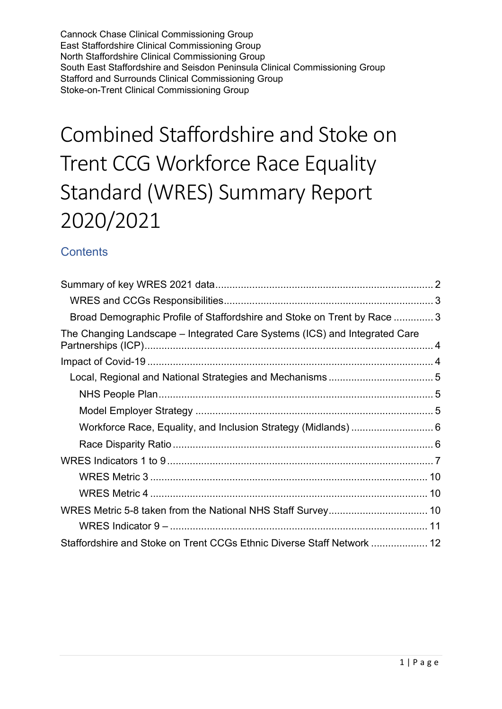Cannock Chase Clinical Commissioning Group East Staffordshire Clinical Commissioning Group North Staffordshire Clinical Commissioning Group South East Staffordshire and Seisdon Peninsula Clinical Commissioning Group Stafford and Surrounds Clinical Commissioning Group Stoke-on-Trent Clinical Commissioning Group

# Combined Staffordshire and Stoke on Trent CCG Workforce Race Equality Standard (WRES) Summary Report 2020/2021

# **Contents**

| Broad Demographic Profile of Staffordshire and Stoke on Trent by Race 3    |  |
|----------------------------------------------------------------------------|--|
| The Changing Landscape – Integrated Care Systems (ICS) and Integrated Care |  |
|                                                                            |  |
|                                                                            |  |
|                                                                            |  |
|                                                                            |  |
| Workforce Race, Equality, and Inclusion Strategy (Midlands)  6             |  |
|                                                                            |  |
|                                                                            |  |
|                                                                            |  |
|                                                                            |  |
|                                                                            |  |
|                                                                            |  |
| Staffordshire and Stoke on Trent CCGs Ethnic Diverse Staff Network  12     |  |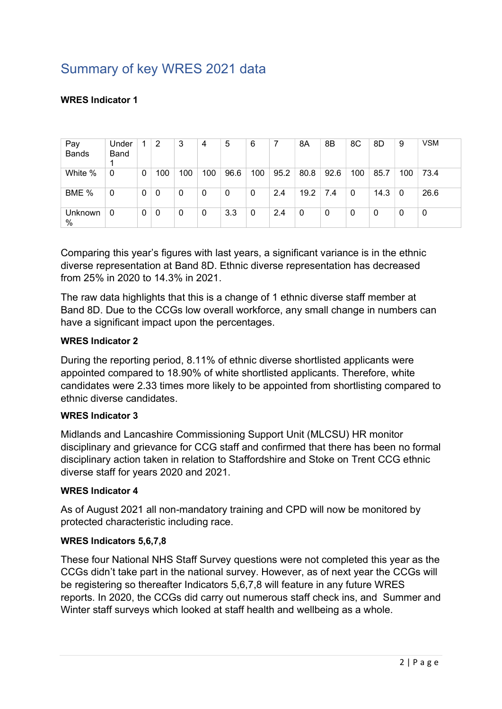# Summary of key WRES 2021 data

## WRES Indicator 1

| Pay<br><b>Bands</b> | Under<br>Band |   | 2   | 3   | 4   | 5    | 6            |      | 8A   | 8B   | 8C  | 8D   | 9   | <b>VSM</b> |
|---------------------|---------------|---|-----|-----|-----|------|--------------|------|------|------|-----|------|-----|------------|
| White %             | 0             | 0 | 100 | 100 | 100 | 96.6 | 100          | 95.2 | 80.8 | 92.6 | 100 | 85.7 | 100 | 73.4       |
| BME %               | $\mathbf 0$   | 0 | 0   | 0   | 0   | 0    | $\mathbf{0}$ | 2.4  | 19.2 | 7.4  | 0   | 14.3 | 0   | 26.6       |
| Unknown<br>%        | 0             | 0 | 0   | 0   | 0   | 3.3  | 0            | 2.4  | 0    | 0    | 0   | 0    | 0   | 0          |

Comparing this year's figures with last years, a significant variance is in the ethnic diverse representation at Band 8D. Ethnic diverse representation has decreased from 25% in 2020 to 14.3% in 2021.

The raw data highlights that this is a change of 1 ethnic diverse staff member at Band 8D. Due to the CCGs low overall workforce, any small change in numbers can have a significant impact upon the percentages.

### WRES Indicator 2

During the reporting period, 8.11% of ethnic diverse shortlisted applicants were appointed compared to 18.90% of white shortlisted applicants. Therefore, white candidates were 2.33 times more likely to be appointed from shortlisting compared to ethnic diverse candidates.

### WRES Indicator 3

Midlands and Lancashire Commissioning Support Unit (MLCSU) HR monitor disciplinary and grievance for CCG staff and confirmed that there has been no formal disciplinary action taken in relation to Staffordshire and Stoke on Trent CCG ethnic diverse staff for years 2020 and 2021.

### WRES Indicator 4

As of August 2021 all non-mandatory training and CPD will now be monitored by protected characteristic including race.

#### WRES Indicators 5,6,7,8

These four National NHS Staff Survey questions were not completed this year as the CCGs didn't take part in the national survey. However, as of next year the CCGs will be registering so thereafter Indicators 5,6,7,8 will feature in any future WRES reports. In 2020, the CCGs did carry out numerous staff check ins, and Summer and Winter staff surveys which looked at staff health and wellbeing as a whole.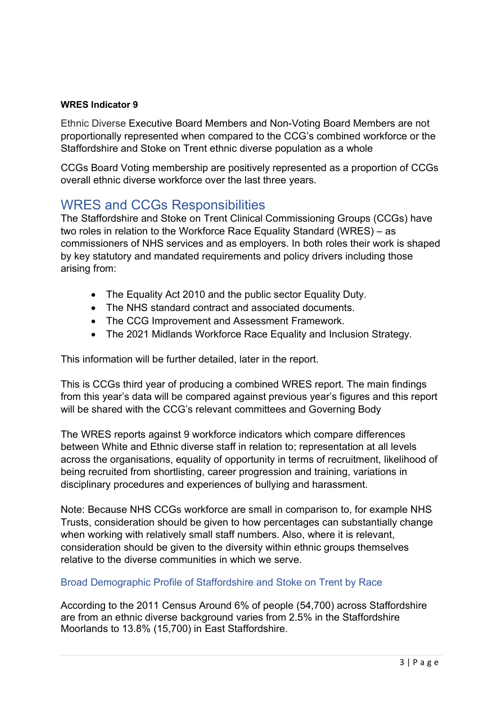## WRES Indicator 9

Ethnic Diverse Executive Board Members and Non-Voting Board Members are not proportionally represented when compared to the CCG's combined workforce or the Staffordshire and Stoke on Trent ethnic diverse population as a whole

CCGs Board Voting membership are positively represented as a proportion of CCGs overall ethnic diverse workforce over the last three years.

# WRES and CCGs Responsibilities

The Staffordshire and Stoke on Trent Clinical Commissioning Groups (CCGs) have two roles in relation to the Workforce Race Equality Standard (WRES) – as commissioners of NHS services and as employers. In both roles their work is shaped by key statutory and mandated requirements and policy drivers including those arising from:

- The Equality Act 2010 and the public sector Equality Duty.
- The NHS standard contract and associated documents.
- The CCG Improvement and Assessment Framework.
- The 2021 Midlands Workforce Race Equality and Inclusion Strategy.

This information will be further detailed, later in the report.

This is CCGs third year of producing a combined WRES report. The main findings from this year's data will be compared against previous year's figures and this report will be shared with the CCG's relevant committees and Governing Body

The WRES reports against 9 workforce indicators which compare differences between White and Ethnic diverse staff in relation to; representation at all levels across the organisations, equality of opportunity in terms of recruitment, likelihood of being recruited from shortlisting, career progression and training, variations in disciplinary procedures and experiences of bullying and harassment.

Note: Because NHS CCGs workforce are small in comparison to, for example NHS Trusts, consideration should be given to how percentages can substantially change when working with relatively small staff numbers. Also, where it is relevant, consideration should be given to the diversity within ethnic groups themselves relative to the diverse communities in which we serve.

## Broad Demographic Profile of Staffordshire and Stoke on Trent by Race

According to the 2011 Census Around 6% of people (54,700) across Staffordshire are from an ethnic diverse background varies from 2.5% in the Staffordshire Moorlands to 13.8% (15,700) in East Staffordshire.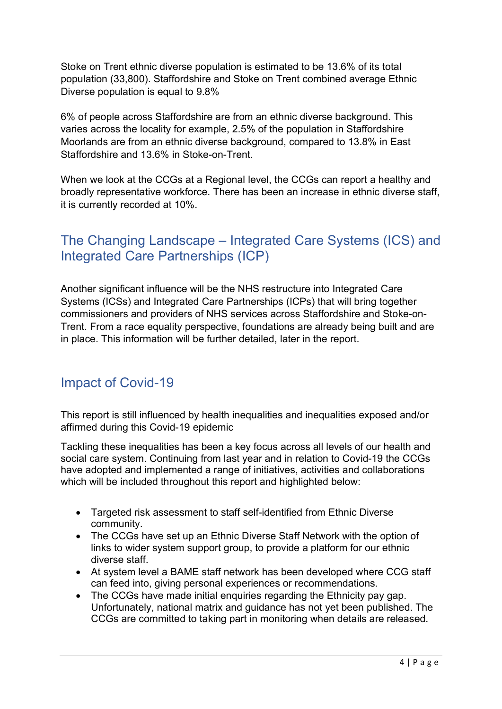Stoke on Trent ethnic diverse population is estimated to be 13.6% of its total population (33,800). Staffordshire and Stoke on Trent combined average Ethnic Diverse population is equal to 9.8%

6% of people across Staffordshire are from an ethnic diverse background. This varies across the locality for example, 2.5% of the population in Staffordshire Moorlands are from an ethnic diverse background, compared to 13.8% in East Staffordshire and 13.6% in Stoke-on-Trent.

When we look at the CCGs at a Regional level, the CCGs can report a healthy and broadly representative workforce. There has been an increase in ethnic diverse staff, it is currently recorded at 10%.

# The Changing Landscape – Integrated Care Systems (ICS) and Integrated Care Partnerships (ICP)

Another significant influence will be the NHS restructure into Integrated Care Systems (ICSs) and Integrated Care Partnerships (ICPs) that will bring together commissioners and providers of NHS services across Staffordshire and Stoke-on-Trent. From a race equality perspective, foundations are already being built and are in place. This information will be further detailed, later in the report.

# Impact of Covid-19

This report is still influenced by health inequalities and inequalities exposed and/or affirmed during this Covid-19 epidemic

Tackling these inequalities has been a key focus across all levels of our health and social care system. Continuing from last year and in relation to Covid-19 the CCGs have adopted and implemented a range of initiatives, activities and collaborations which will be included throughout this report and highlighted below:

- Targeted risk assessment to staff self-identified from Ethnic Diverse community.
- The CCGs have set up an Ethnic Diverse Staff Network with the option of links to wider system support group, to provide a platform for our ethnic diverse staff.
- At system level a BAME staff network has been developed where CCG staff can feed into, giving personal experiences or recommendations.
- The CCGs have made initial enquiries regarding the Ethnicity pay gap. Unfortunately, national matrix and guidance has not yet been published. The CCGs are committed to taking part in monitoring when details are released.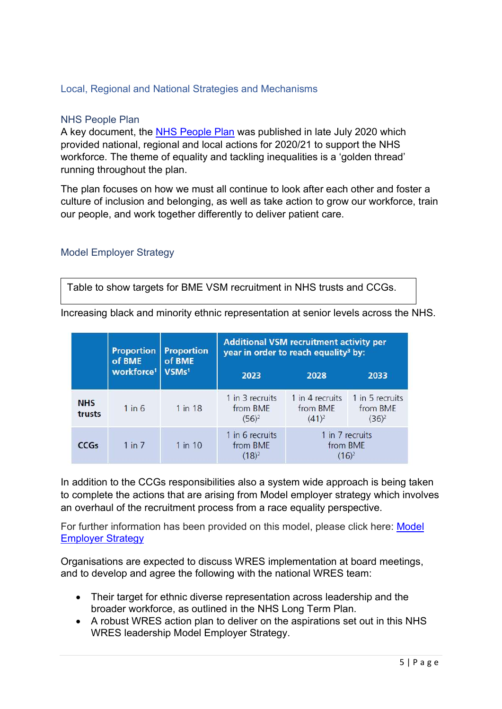## Local, Regional and National Strategies and Mechanisms

#### NHS People Plan

A key document, the NHS People Plan was published in late July 2020 which provided national, regional and local actions for 2020/21 to support the NHS workforce. The theme of equality and tackling inequalities is a 'golden thread' running throughout the plan.

The plan focuses on how we must all continue to look after each other and foster a culture of inclusion and belonging, as well as take action to grow our workforce, train our people, and work together differently to deliver patient care.

### Model Employer Strategy

Table to show targets for BME VSM recruitment in NHS trusts and CCGs.

Increasing black and minority ethnic representation at senior levels across the NHS.

|                      | <b>Proportion</b><br>of BME                 | <b>Proportion</b><br>of BME | <b>Additional VSM recruitment activity per</b><br>year in order to reach equality <sup>3</sup> by: |                                         |                                         |  |  |  |
|----------------------|---------------------------------------------|-----------------------------|----------------------------------------------------------------------------------------------------|-----------------------------------------|-----------------------------------------|--|--|--|
|                      | workforce <sup>1</sup><br>VSMs <sup>1</sup> |                             | 2023                                                                                               | 2028                                    | 2033                                    |  |  |  |
| <b>NHS</b><br>trusts | $1$ in 6                                    | 1 in 18                     | 1 in 3 recruits<br>from BME<br>$(56)^2$                                                            | 1 in 4 recruits<br>from BME<br>$(41)^2$ | 1 in 5 recruits<br>from BME<br>$(36)^2$ |  |  |  |
| <b>CCGs</b>          | $1$ in $7$                                  | $1$ in $10$                 | 1 in 6 recruits<br>from BME<br>(18) <sup>2</sup>                                                   | 1 in 7 recruits<br>from BME<br>$(16)^2$ |                                         |  |  |  |

In addition to the CCGs responsibilities also a system wide approach is being taken to complete the actions that are arising from Model employer strategy which involves an overhaul of the recruitment process from a race equality perspective.

For further information has been provided on this model, please click here: Model Employer Strategy

Organisations are expected to discuss WRES implementation at board meetings, and to develop and agree the following with the national WRES team:

- Their target for ethnic diverse representation across leadership and the broader workforce, as outlined in the NHS Long Term Plan.
- A robust WRES action plan to deliver on the aspirations set out in this NHS WRES leadership Model Employer Strategy.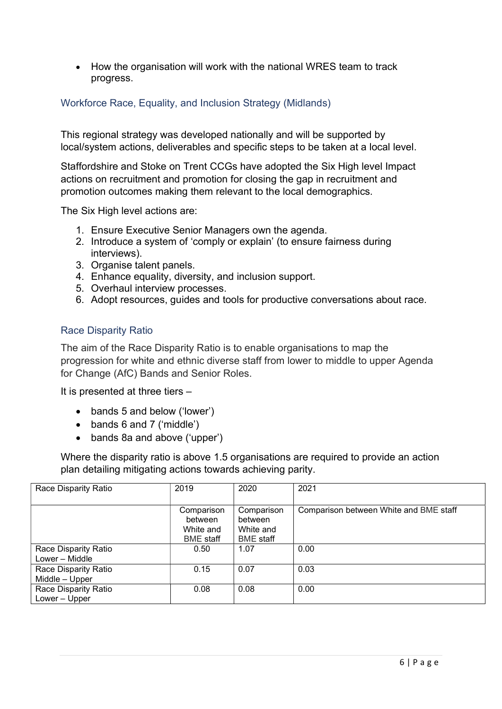• How the organisation will work with the national WRES team to track progress.

## Workforce Race, Equality, and Inclusion Strategy (Midlands)

This regional strategy was developed nationally and will be supported by local/system actions, deliverables and specific steps to be taken at a local level.

Staffordshire and Stoke on Trent CCGs have adopted the Six High level Impact actions on recruitment and promotion for closing the gap in recruitment and promotion outcomes making them relevant to the local demographics.

The Six High level actions are:

- 1. Ensure Executive Senior Managers own the agenda.
- 2. Introduce a system of 'comply or explain' (to ensure fairness during interviews).
- 3. Organise talent panels.
- 4. Enhance equality, diversity, and inclusion support.
- 5. Overhaul interview processes.
- 6. Adopt resources, guides and tools for productive conversations about race.

### Race Disparity Ratio

The aim of the Race Disparity Ratio is to enable organisations to map the progression for white and ethnic diverse staff from lower to middle to upper Agenda for Change (AfC) Bands and Senior Roles.

It is presented at three tiers –

- bands 5 and below ('lower')
- bands 6 and 7 ('middle')
- bands 8a and above ('upper')

Where the disparity ratio is above 1.5 organisations are required to provide an action plan detailing mitigating actions towards achieving parity.

| Race Disparity Ratio                   | 2019                                                   | 2020                                                   | 2021                                   |
|----------------------------------------|--------------------------------------------------------|--------------------------------------------------------|----------------------------------------|
|                                        | Comparison<br>between<br>White and<br><b>BME</b> staff | Comparison<br>between<br>White and<br><b>BME</b> staff | Comparison between White and BME staff |
| Race Disparity Ratio<br>Lower - Middle | 0.50                                                   | 1.07                                                   | 0.00                                   |
| Race Disparity Ratio<br>Middle - Upper | 0.15                                                   | 0.07                                                   | 0.03                                   |
| Race Disparity Ratio<br>Lower - Upper  | 0.08                                                   | 0.08                                                   | 0.00                                   |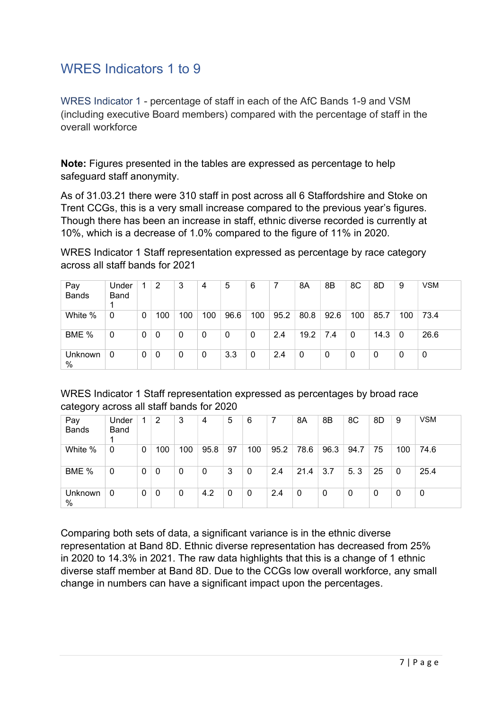# WRES Indicators 1 to 9

WRES Indicator 1 - percentage of staff in each of the AfC Bands 1-9 and VSM (including executive Board members) compared with the percentage of staff in the overall workforce

Note: Figures presented in the tables are expressed as percentage to help safeguard staff anonymity.

As of 31.03.21 there were 310 staff in post across all 6 Staffordshire and Stoke on Trent CCGs, this is a very small increase compared to the previous year's figures. Though there has been an increase in staff, ethnic diverse recorded is currently at 10%, which is a decrease of 1.0% compared to the figure of 11% in 2020.

WRES Indicator 1 Staff representation expressed as percentage by race category across all staff bands for 2021

| Pay<br><b>Bands</b> | Under<br>Band |              | 2   | 3   | 4   | 5    | 6            |      | 8Α           | 8B          | 8C  | 8D       | 9   | <b>VSM</b> |
|---------------------|---------------|--------------|-----|-----|-----|------|--------------|------|--------------|-------------|-----|----------|-----|------------|
| White %             | $\mathbf{0}$  | $\mathbf{0}$ | 100 | 100 | 100 | 96.6 | 100          | 95.2 | 80.8         | 92.6        | 100 | 85.7     | 100 | 73.4       |
| BME %               | 0             | 0            | 0   | 0   | 0   | 0    | $\mathbf{0}$ | 2.4  | 19.2         | 7.4         | 0   | 14.3     | 0   | 26.6       |
| Unknown<br>$\%$     | 0             | 0            | 0   | 0   | 0   | 3.3  | 0            | 2.4  | $\mathbf{0}$ | $\mathbf 0$ | 0   | $\Omega$ | 0   | 0          |

WRES Indicator 1 Staff representation expressed as percentages by broad race category across all staff bands for 2020

| Pay<br><b>Bands</b> | Under<br>Band |              | 2   | 3   | 4            | 5  | 6   |      | 8A   | 8B   | 8C   | 8D | 9        | <b>VSM</b> |
|---------------------|---------------|--------------|-----|-----|--------------|----|-----|------|------|------|------|----|----------|------------|
| White %             | 0             | 0            | 100 | 100 | 95.8         | 97 | 100 | 95.2 | 78.6 | 96.3 | 94.7 | 75 | 100      | 74.6       |
| BME %               | 0             | 0            | 0   | 0   | $\mathbf{0}$ | 3  | 0   | 2.4  | 21.4 | 3.7  | 5.3  | 25 | $\Omega$ | 25.4       |
| Unknown<br>%        | 0             | $\mathbf{0}$ | 0   | 0   | 4.2          | 0  | 0   | 2.4  | 0    | 0    | 0    | 0  | 0        | 0          |

Comparing both sets of data, a significant variance is in the ethnic diverse representation at Band 8D. Ethnic diverse representation has decreased from 25% in 2020 to 14.3% in 2021. The raw data highlights that this is a change of 1 ethnic diverse staff member at Band 8D. Due to the CCGs low overall workforce, any small change in numbers can have a significant impact upon the percentages.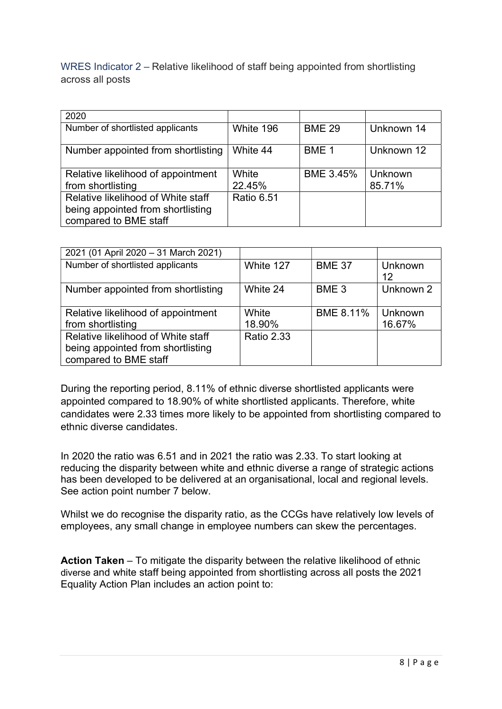WRES Indicator 2 – Relative likelihood of staff being appointed from shortlisting across all posts

| 2020                               |                   |                  |            |
|------------------------------------|-------------------|------------------|------------|
| Number of shortlisted applicants   | White 196         | <b>BME 29</b>    | Unknown 14 |
| Number appointed from shortlisting | White 44          | BME <sub>1</sub> | Unknown 12 |
| Relative likelihood of appointment | White             | <b>BME 3.45%</b> | Unknown    |
| from shortlisting                  | 22.45%            |                  | 85.71%     |
| Relative likelihood of White staff | <b>Ratio 6.51</b> |                  |            |
| being appointed from shortlisting  |                   |                  |            |
| compared to BME staff              |                   |                  |            |

| 2021 (01 April 2020 - 31 March 2021) |                   |                  |           |
|--------------------------------------|-------------------|------------------|-----------|
| Number of shortlisted applicants     | White 127         | <b>BME 37</b>    | Unknown   |
|                                      |                   |                  | 12        |
| Number appointed from shortlisting   | White 24          | BME <sub>3</sub> | Unknown 2 |
|                                      |                   |                  |           |
| Relative likelihood of appointment   | White             | <b>BME 8.11%</b> | Unknown   |
| from shortlisting                    | 18.90%            |                  | 16.67%    |
| Relative likelihood of White staff   | <b>Ratio 2.33</b> |                  |           |
| being appointed from shortlisting    |                   |                  |           |
| compared to BME staff                |                   |                  |           |

During the reporting period, 8.11% of ethnic diverse shortlisted applicants were appointed compared to 18.90% of white shortlisted applicants. Therefore, white candidates were 2.33 times more likely to be appointed from shortlisting compared to ethnic diverse candidates.

In 2020 the ratio was 6.51 and in 2021 the ratio was 2.33. To start looking at reducing the disparity between white and ethnic diverse a range of strategic actions has been developed to be delivered at an organisational, local and regional levels. See action point number 7 below.

Whilst we do recognise the disparity ratio, as the CCGs have relatively low levels of employees, any small change in employee numbers can skew the percentages.

Action Taken – To mitigate the disparity between the relative likelihood of ethnic diverse and white staff being appointed from shortlisting across all posts the 2021 Equality Action Plan includes an action point to: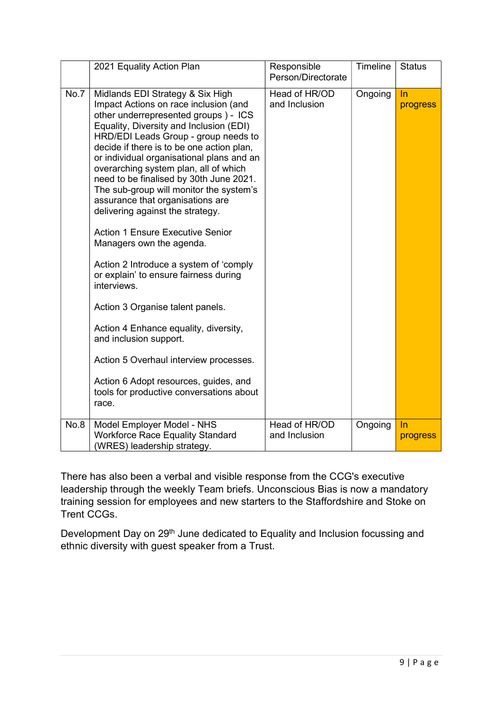|      | 2021 Equality Action Plan                                                                                                                                                                                                                                                                                                                                                                                                                                                                                                                                                                                                                                                                                                                                                                                                                                                                                                     | Responsible<br>Person/Directorate | <b>Timeline</b> | <b>Status</b>  |
|------|-------------------------------------------------------------------------------------------------------------------------------------------------------------------------------------------------------------------------------------------------------------------------------------------------------------------------------------------------------------------------------------------------------------------------------------------------------------------------------------------------------------------------------------------------------------------------------------------------------------------------------------------------------------------------------------------------------------------------------------------------------------------------------------------------------------------------------------------------------------------------------------------------------------------------------|-----------------------------------|-----------------|----------------|
| No.7 | Midlands EDI Strategy & Six High<br>Impact Actions on race inclusion (and<br>other underrepresented groups) - ICS<br>Equality, Diversity and Inclusion (EDI)<br>HRD/EDI Leads Group - group needs to<br>decide if there is to be one action plan,<br>or individual organisational plans and an<br>overarching system plan, all of which<br>need to be finalised by 30th June 2021.<br>The sub-group will monitor the system's<br>assurance that organisations are<br>delivering against the strategy.<br><b>Action 1 Ensure Executive Senior</b><br>Managers own the agenda.<br>Action 2 Introduce a system of 'comply<br>or explain' to ensure fairness during<br>interviews.<br>Action 3 Organise talent panels.<br>Action 4 Enhance equality, diversity,<br>and inclusion support.<br>Action 5 Overhaul interview processes.<br>Action 6 Adopt resources, guides, and<br>tools for productive conversations about<br>race. | Head of HR/OD<br>and Inclusion    | Ongoing         | In<br>progress |
| No.8 | Model Employer Model - NHS<br><b>Workforce Race Equality Standard</b><br>(WRES) leadership strategy.                                                                                                                                                                                                                                                                                                                                                                                                                                                                                                                                                                                                                                                                                                                                                                                                                          | Head of HR/OD<br>and Inclusion    | Ongoing         | In<br>progress |

There has also been a verbal and visible response from the CCG's executive leadership through the weekly Team briefs. Unconscious Bias is now a mandatory training session for employees and new starters to the Staffordshire and Stoke on Trent CCGs.

Development Day on 29<sup>th</sup> June dedicated to Equality and Inclusion focussing and ethnic diversity with guest speaker from a Trust.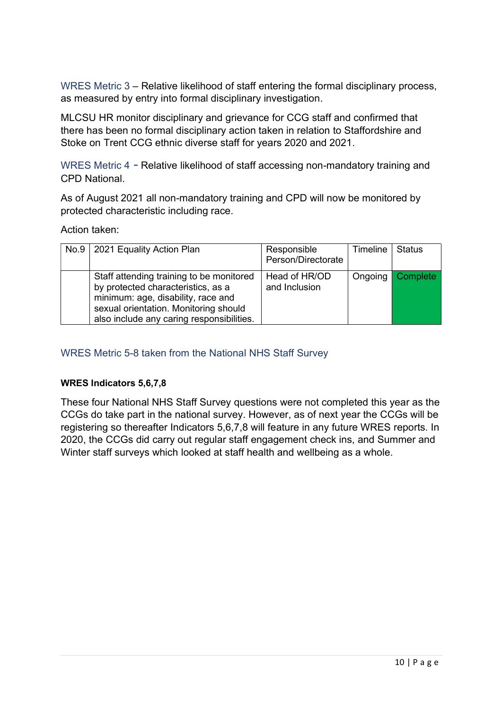WRES Metric 3 – Relative likelihood of staff entering the formal disciplinary process, as measured by entry into formal disciplinary investigation.

MLCSU HR monitor disciplinary and grievance for CCG staff and confirmed that there has been no formal disciplinary action taken in relation to Staffordshire and Stoke on Trent CCG ethnic diverse staff for years 2020 and 2021.

WRES Metric 4 - Relative likelihood of staff accessing non-mandatory training and CPD National.

As of August 2021 all non-mandatory training and CPD will now be monitored by protected characteristic including race.

Action taken:

| No.9 | 2021 Equality Action Plan                                                                                                                                                                                  | Responsible<br>Person/Directorate | Timeline | <b>Status</b> |
|------|------------------------------------------------------------------------------------------------------------------------------------------------------------------------------------------------------------|-----------------------------------|----------|---------------|
|      | Staff attending training to be monitored<br>by protected characteristics, as a<br>minimum: age, disability, race and<br>sexual orientation. Monitoring should<br>also include any caring responsibilities. | Head of HR/OD<br>and Inclusion    | Ongoing  | Complete      |

## WRES Metric 5-8 taken from the National NHS Staff Survey

### WRES Indicators 5,6,7,8

These four National NHS Staff Survey questions were not completed this year as the CCGs do take part in the national survey. However, as of next year the CCGs will be registering so thereafter Indicators 5,6,7,8 will feature in any future WRES reports. In 2020, the CCGs did carry out regular staff engagement check ins, and Summer and Winter staff surveys which looked at staff health and wellbeing as a whole.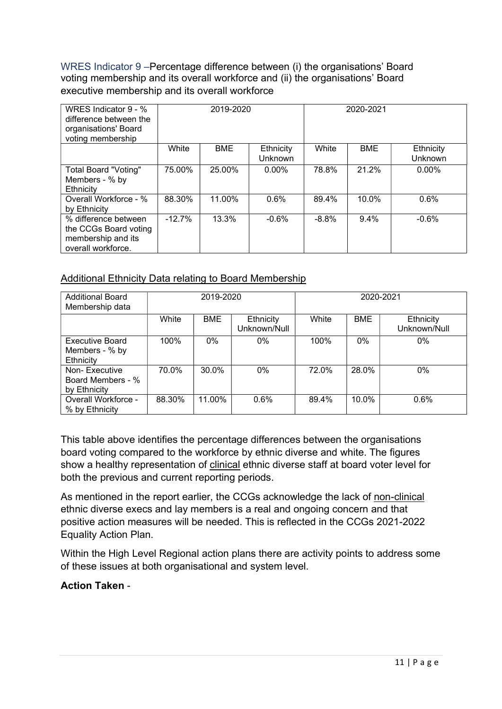WRES Indicator 9 –Percentage difference between (i) the organisations' Board voting membership and its overall workforce and (ii) the organisations' Board executive membership and its overall workforce

| WRES Indicator 9 - %<br>difference between the<br>organisations' Board<br>voting membership | 2019-2020 |        |                      | 2020-2021 |            |                      |
|---------------------------------------------------------------------------------------------|-----------|--------|----------------------|-----------|------------|----------------------|
|                                                                                             | White     | BME    | Ethnicity<br>Unknown | White     | <b>BME</b> | Ethnicity<br>Unknown |
| Total Board "Voting"<br>Members - % by<br>Ethnicity                                         | 75.00%    | 25.00% | $0.00\%$             | 78.8%     | 21.2%      | $0.00\%$             |
| Overall Workforce - %<br>by Ethnicity                                                       | 88.30%    | 11.00% | 0.6%                 | 89.4%     | 10.0%      | 0.6%                 |
| % difference between<br>the CCGs Board voting<br>membership and its<br>overall workforce.   | $-12.7%$  | 13.3%  | $-0.6%$              | $-8.8%$   | $9.4\%$    | $-0.6%$              |

## Additional Ethnicity Data relating to Board Membership

| <b>Additional Board</b><br>Membership data            |        | 2019-2020  |                           | 2020-2021 |            |                           |  |
|-------------------------------------------------------|--------|------------|---------------------------|-----------|------------|---------------------------|--|
|                                                       | White  | <b>BME</b> | Ethnicity<br>Unknown/Null | White     | <b>BME</b> | Ethnicity<br>Unknown/Null |  |
| <b>Executive Board</b><br>Members - % by<br>Ethnicity | 100%   | $0\%$      | $0\%$                     | 100%      | $0\%$      | $0\%$                     |  |
| Non-Executive<br>Board Members - %<br>by Ethnicity    | 70.0%  | 30.0%      | $0\%$                     | 72.0%     | 28.0%      | $0\%$                     |  |
| Overall Workforce -<br>% by Ethnicity                 | 88.30% | 11.00%     | 0.6%                      | 89.4%     | 10.0%      | 0.6%                      |  |

This table above identifies the percentage differences between the organisations board voting compared to the workforce by ethnic diverse and white. The figures show a healthy representation of clinical ethnic diverse staff at board voter level for both the previous and current reporting periods.

As mentioned in the report earlier, the CCGs acknowledge the lack of non-clinical ethnic diverse execs and lay members is a real and ongoing concern and that positive action measures will be needed. This is reflected in the CCGs 2021-2022 Equality Action Plan.

Within the High Level Regional action plans there are activity points to address some of these issues at both organisational and system level.

### Action Taken -